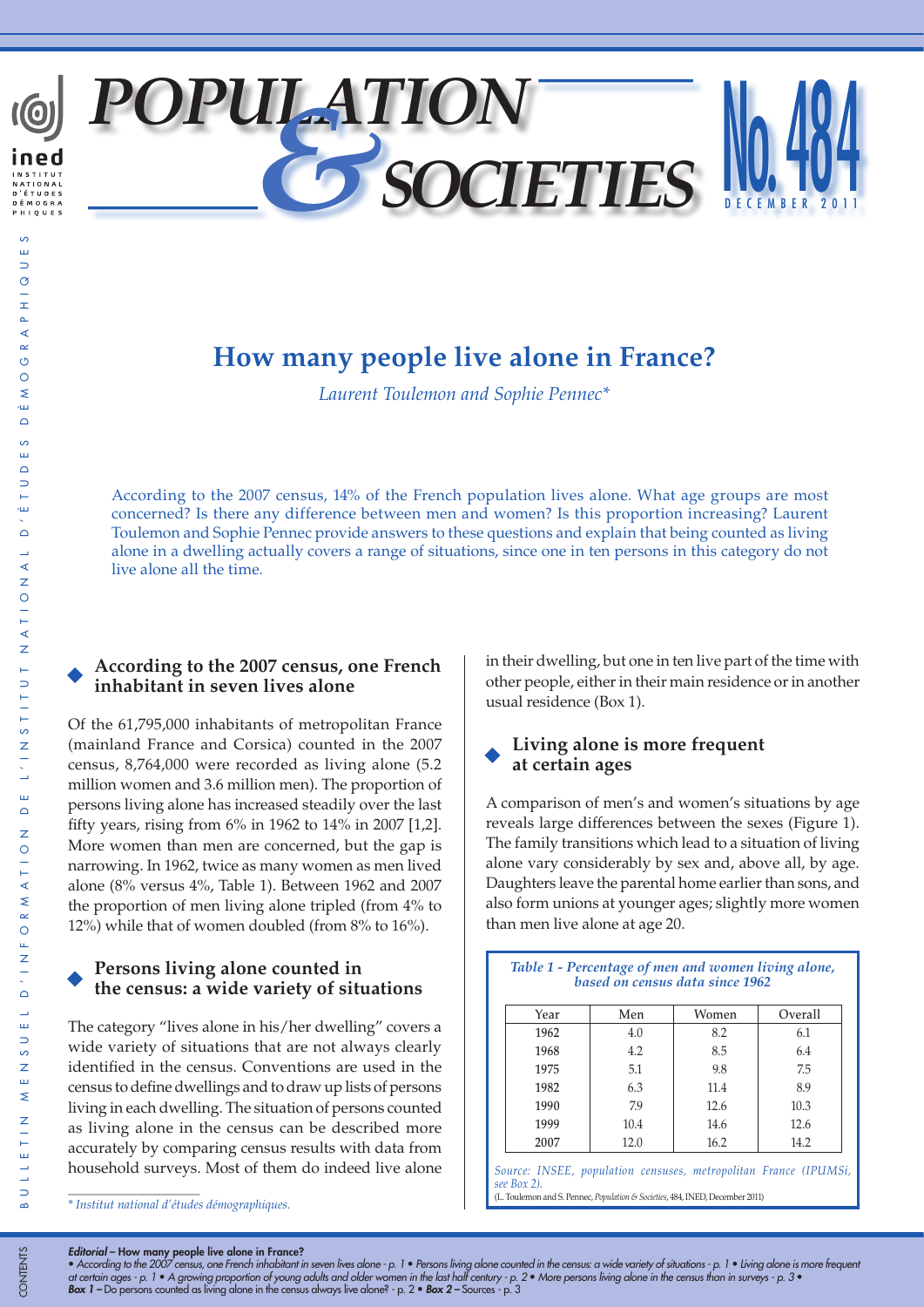

# **How many people live alone in France?**

*Laurent Toulemon and Sophie Pennec\**

According to the 2007 census, 14% of the French population lives alone. What age groups are most concerned? Is there any difference between men and women? Is this proportion increasing? Laurent Toulemon and Sophie Pennec provide answers to these questions and explain that being counted as living alone in a dwelling actually covers a range of situations, since one in ten persons in this category do not live alone all the time.

# **According to the 2007 census, one French inhabitant in seven lives alone**

Of the 61,795,000 inhabitants of metropolitan France (mainland France and Corsica) counted in the 2007 census, 8,764,000 were recorded as living alone (5.2 million women and 3.6 million men). The proportion of persons living alone has increased steadily over the last fifty years, rising from 6% in 1962 to 14% in 2007 [1,2]. More women than men are concerned, but the gap is narrowing. In 1962, twice as many women as men lived alone (8% versus 4%, Table 1). Between 1962 and 2007 the proportion of men living alone tripled (from 4% to 12%) while that of women doubled (from 8% to 16%).

# **Persons living alone counted in the census: a wide variety of situations**

The category "lives alone in his/her dwelling" covers a wide variety of situations that are not always clearly identified in the census. Conventions are used in the census to define dwellings and to draw up lists of persons living in each dwelling. The situation of persons counted as living alone in the census can be described more accurately by comparing census results with data from household surveys. Most of them do indeed live alone

*\* Institut national d'études démographiques.*

in their dwelling, but one in ten live part of the time with other people, either in their main residence or in another usual residence (Box 1).

# **Living alone is more frequent at certain ages**

A comparison of men's and women's situations by age reveals large differences between the sexes (Figure 1). The family transitions which lead to a situation of living alone vary considerably by sex and, above all, by age. Daughters leave the parental home earlier than sons, and also form unions at younger ages; slightly more women than men live alone at age 20.

| Table 1 - Percentage of men and women living alone,<br>based on census data since 1962 |      |       |         |  |  |  |
|----------------------------------------------------------------------------------------|------|-------|---------|--|--|--|
| Year                                                                                   | Men  | Women | Overall |  |  |  |
| 1962                                                                                   | 4.0  | 8.2   | 6.1     |  |  |  |
| 1968                                                                                   | 4.2  | 8.5   | 6.4     |  |  |  |
| 1975                                                                                   | 5.1  | 9.8   | 7.5     |  |  |  |
| 1982                                                                                   | 6.3  | 11.4  | 8.9     |  |  |  |
| 1990                                                                                   | 79   | 12.6  | 10.3    |  |  |  |
| 1999                                                                                   | 10.4 | 14.6  | 12.6    |  |  |  |
| 2007                                                                                   | 12.0 | 16.2  | 14.2    |  |  |  |

*Source: INSEE, population censuses, metropolitan France (IPUMSi, see Box 2).* (L. Toulemon and S. Pennec, *Population & Societies*, 484, INED, December 2011)

*Editorial* – How many people live alone in France?

• *According to the 2007 census, one French inhabitant in seven lives alone - p. 1* • *Persons living alone counted in the census: a wide variety of situations - p. 1* • *Living alone is more frequent*  at certain ages - p. 1 • A growing proportion of young adults and older women in the last half century - p. 2 • More persons living alone in the census than in surveys - p. 3 •<br>**Box 1 –** Do persons counted as living alone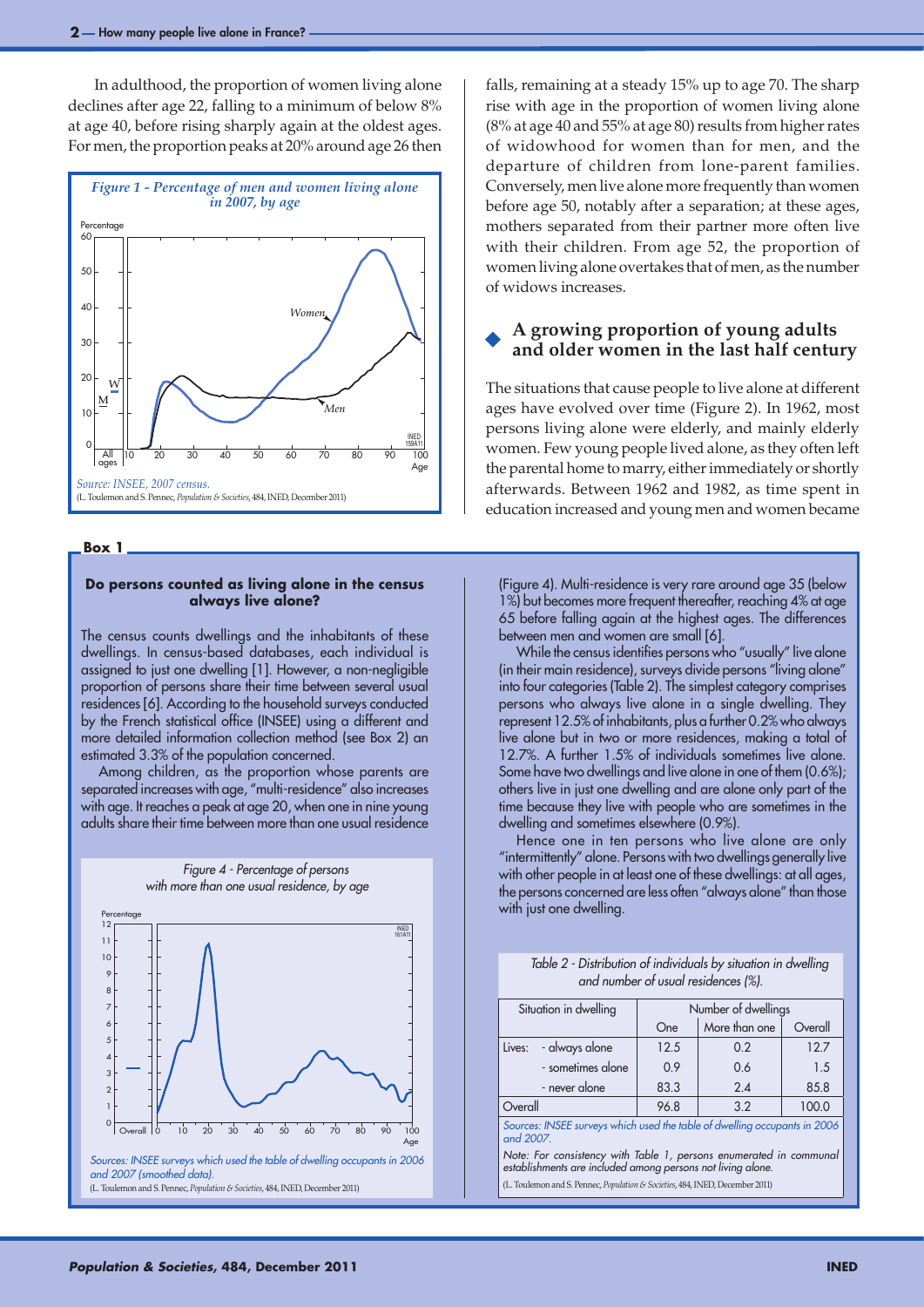In adulthood, the proportion of women living alone declines after age 22, falling to a minimum of below 8% at age 40, before rising sharply again at the oldest ages. For men, the proportion peaks at 20% around age 26 then



#### **Box 1**

# **Do persons counted as living alone in the census always live alone?**

The census counts dwellings and the inhabitants of these dwellings. In census-based databases, each individual is assigned to just one dwelling [1]. However, a non-negligible proportion of persons share their time between several usual residences [6]. According to the household surveys conducted by the French statistical office (INSEE) using a different and more detailed information collection method (see Box 2) an estimated 3.3% of the population concerned.

Among children, as the proportion whose parents are separated increases with age, "multi-residence" also increases with age. It reaches a peak at age 20, when one in nine young adults share their time between more than one usual residence

> *Figure 4 - Percentage of persons with more than one usual residence, by age*



(L. Toulemon and S. Pennec, *Population & Societies*, 484, INED, December 2011)

falls, remaining at a steady 15% up to age 70. The sharp rise with age in the proportion of women living alone (8% at age 40 and 55% at age 80) results from higher rates of widowhood for women than for men, and the departure of children from lone-parent families. Conversely, men live alone more frequently than women before age 50, notably after a separation; at these ages, mothers separated from their partner more often live with their children. From age 52, the proportion of women living alone overtakes that of men, as the number of widows increases.

# **A growing proportion of young adults and older women in the last half century**

The situations that cause people to live alone at different ages have evolved over time (Figure 2). In 1962, most persons living alone were elderly, and mainly elderly women. Few young people lived alone, as they often left the parental home to marry, either immediately or shortly afterwards. Between 1962 and 1982, as time spent in education increased and young men and women became

(Figure 4). Multi-residence is very rare around age 35 (below 1%) but becomes more frequent thereafter, reaching 4% at age 65 before falling again at the highest ages. The differences between men and women are small [6].

While the census identifies persons who "usually" live alone (in their main residence), surveys divide persons "living alone" into four categories (Table 2). The simplest category comprises persons who always live alone in a single dwelling. They represent 12.5% of inhabitants, plus a further 0.2% who always live alone but in two or more residences, making a total of 12.7%. A further 1.5% of individuals sometimes live alone. Some have two dwellings and live alone in one of them (0.6%); others live in just one dwelling and are alone only part of the time because they live with people who are sometimes in the dwelling and sometimes elsewhere (0.9%).

Hence one in ten persons who live alone are only "intermittently" alone. Persons with two dwellings generally live with other people in at least one of these dwellings: at all ages, the persons concerned are less often "always alone" than those with just one dwelling.

| Table 2 - Distribution of individuals by situation in dwelling |  |  |  |
|----------------------------------------------------------------|--|--|--|
| and number of usual residences (%).                            |  |  |  |

| Situation in dwelling                                                                  | Number of dwellings |               |         |  |  |  |
|----------------------------------------------------------------------------------------|---------------------|---------------|---------|--|--|--|
|                                                                                        | One                 | More than one | Overall |  |  |  |
| - always alone<br>Lives:                                                               | 12.5                | 0.2           | 12.7    |  |  |  |
| - sometimes alone                                                                      | 0.9                 | 0.6           | 1.5     |  |  |  |
| - never alone                                                                          | 83.3                | 2.4           | 85.8    |  |  |  |
| Overall                                                                                | 96.8                | 3.2           | 100.0   |  |  |  |
| Sources: INSEE surveys which used the table of dwelling occupants in 2006<br>and 2007. |                     |               |         |  |  |  |
| Note: For consistency with Table 1, persons enumerated in communal                     |                     |               |         |  |  |  |

*establishments are included among persons not living alone.*  (L. Toulemon and S. Pennec, *Population & Societies*, 484, INED, December 2011)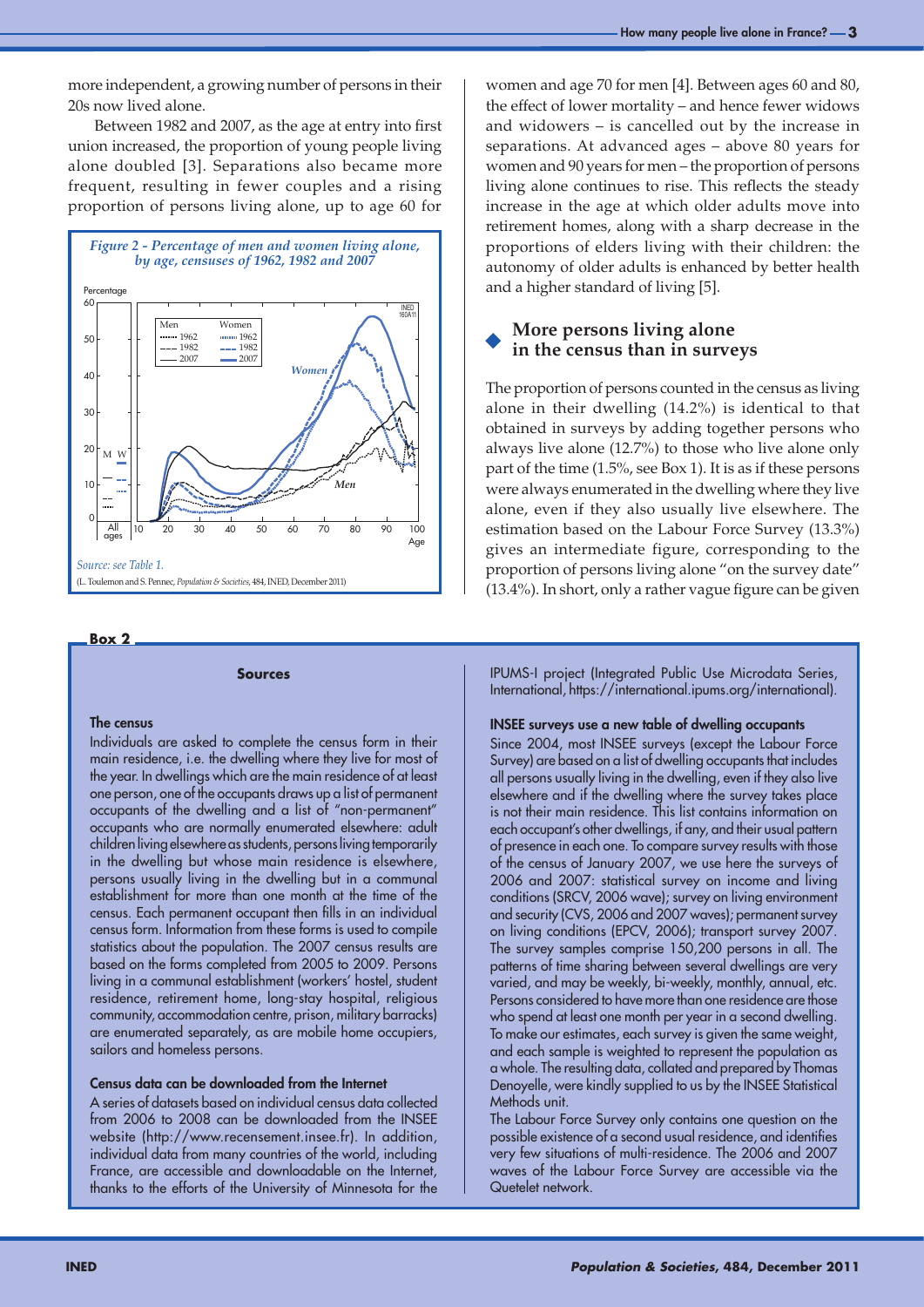more independent, a growing number of persons in their 20s now lived alone.

Between 1982 and 2007, as the age at entry into first union increased, the proportion of young people living alone doubled [3]. Separations also became more frequent, resulting in fewer couples and a rising proportion of persons living alone, up to age 60 for



### **Box 2**

#### **Sources**

### The census

Individuals are asked to complete the census form in their main residence, i.e. the dwelling where they live for most of the year. In dwellings which are the main residence of at least one person, one of the occupants draws up a list of permanent occupants of the dwelling and a list of "non-permanent" occupants who are normally enumerated elsewhere: adult children living elsewhere as students, persons living temporarily in the dwelling but whose main residence is elsewhere, persons usually living in the dwelling but in a communal establishment for more than one month at the time of the census. Each permanent occupant then fills in an individual census form. Information from these forms is used to compile statistics about the population. The 2007 census results are based on the forms completed from 2005 to 2009. Persons living in a communal establishment (workers' hostel, student residence, retirement home, long-stay hospital, religious community, accommodation centre, prison, military barracks) are enumerated separately, as are mobile home occupiers, sailors and homeless persons.

## Census data can be downloaded from the Internet

A series of datasets based on individual census data collected from 2006 to 2008 can be downloaded from the INSEE website (http://www.recensement.insee.fr). In addition, individual data from many countries of the world, including France, are accessible and downloadable on the Internet, thanks to the efforts of the University of Minnesota for the

women and age 70 for men [4]. Between ages 60 and 80, the effect of lower mortality – and hence fewer widows and widowers – is cancelled out by the increase in separations. At advanced ages – above 80 years for women and 90 years for men – the proportion of persons living alone continues to rise. This reflects the steady increase in the age at which older adults move into retirement homes, along with a sharp decrease in the proportions of elders living with their children: the autonomy of older adults is enhanced by better health and a higher standard of living [5].

# **More persons living alone in the census than in surveys**

The proportion of persons counted in the census as living alone in their dwelling (14.2%) is identical to that obtained in surveys by adding together persons who always live alone (12.7%) to those who live alone only part of the time (1.5%, see Box 1). It is as if these persons were always enumerated in the dwelling where they live alone, even if they also usually live elsewhere. The estimation based on the Labour Force Survey (13.3%) gives an intermediate figure, corresponding to the proportion of persons living alone "on the survey date" (13.4%). In short, only a rather vague figure can be given

IPUMS-I project (Integrated Public Use Microdata Series, International, https://international.ipums.org/international).

### INSEE surveys use a new table of dwelling occupants

Since 2004, most INSEE surveys (except the Labour Force Survey) are based on a list of dwelling occupants that includes all persons usually living in the dwelling, even if they also live elsewhere and if the dwelling where the survey takes place is not their main residence. This list contains information on each occupant's other dwellings, if any, and their usual pattern of presence in each one. To compare survey results with those of the census of January 2007, we use here the surveys of 2006 and 2007: statistical survey on income and living conditions (SRCV, 2006 wave); survey on living environment and security (CVS, 2006 and 2007 waves); permanent survey on living conditions (EPCV, 2006); transport survey 2007. The survey samples comprise 150,200 persons in all. The patterns of time sharing between several dwellings are very varied, and may be weekly, bi-weekly, monthly, annual, etc. Persons considered to have more than one residence are those who spend at least one month per year in a second dwelling. To make our estimates, each survey is given the same weight, and each sample is weighted to represent the population as a whole. The resulting data, collated and prepared by Thomas Denoyelle, were kindly supplied to us by the INSEE Statistical Methods unit.

The Labour Force Survey only contains one question on the possible existence of a second usual residence, and identifies very few situations of multi-residence. The 2006 and 2007 waves of the Labour Force Survey are accessible via the Quetelet network.